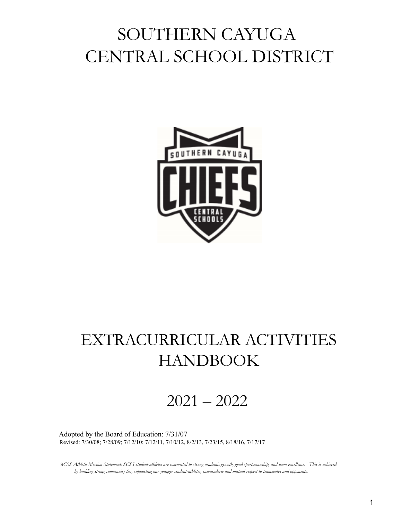# SOUTHERN CAYUGA CENTRAL SCHOOL DISTRICT



## EXTRACURRICULAR ACTIVITIES HANDBOOK

2021 – 2022

Adopted by the Board of Education: 7/31/07 Revised: 7/30/08; 7/28/09; 7/12/10; 7/12/11, 7/10/12, 8/2/13, 7/23/15, 8/18/16, 7/17/17

SCSS Athletic Mission Statement: SCSS student-athletes are committed to strong academic growth, good sportsmanship, and team excellence. This is achieved by building strong community ties, supporting our younger student-athletes, camaraderie and mutual respect to teammates and opponents.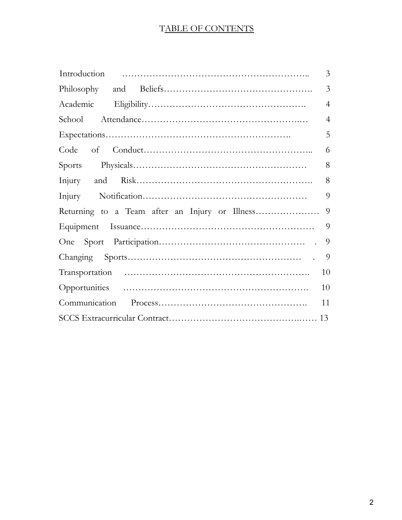## TABLE OF CONTENTS

| 3              |
|----------------|
| $\overline{3}$ |
| $\overline{4}$ |
| $\overline{4}$ |
| 5              |
| 6              |
| 8              |
| 8              |
| 9              |
| 9              |
| 9              |
| 9              |
| 9              |
| 10             |
| 10             |
| 11             |
|                |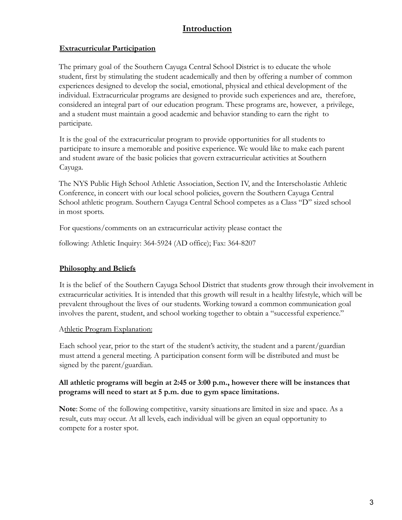## **Introduction**

#### **Extracurricular Participation**

The primary goal of the Southern Cayuga Central School District is to educate the whole student, first by stimulating the student academically and then by offering a number of common experiences designed to develop the social, emotional, physical and ethical development of the individual. Extracurricular programs are designed to provide such experiences and are, therefore, considered an integral part of our education program. These programs are, however, a privilege, and a student must maintain a good academic and behavior standing to earn the right to participate.

It is the goal of the extracurricular program to provide opportunities for all students to participate to insure a memorable and positive experience. We would like to make each parent and student aware of the basic policies that govern extracurricular activities at Southern Cayuga.

The NYS Public High School Athletic Association, Section IV, and the Interscholastic Athletic Conference, in concert with our local school policies, govern the Southern Cayuga Central School athletic program. Southern Cayuga Central School competes as a Class "D" sized school in most sports.

For questions/comments on an extracurricular activity please contact the

following: Athletic Inquiry: 364-5924 (AD office); Fax: 364-8207

## **Philosophy and Beliefs**

It is the belief of the Southern Cayuga School District that students grow through their involvement in extracurricular activities. It is intended that this growth will result in a healthy lifestyle, which will be prevalent throughout the lives of our students. Working toward a common communication goal involves the parent, student, and school working together to obtain a "successful experience."

## Athletic Program Explanation:

Each school year, prior to the start of the student's activity, the student and a parent/guardian must attend a general meeting. A participation consent form will be distributed and must be signed by the parent/guardian.

#### **All athletic programs will begin at 2:45 or 3:00 p.m., however there will be instances that programs will need to start at 5 p.m. due to gym space limitations.**

**Note**: Some of the following competitive, varsity situations are limited in size and space. As a result, cuts may occur. At all levels, each individual will be given an equal opportunity to compete for a roster spot.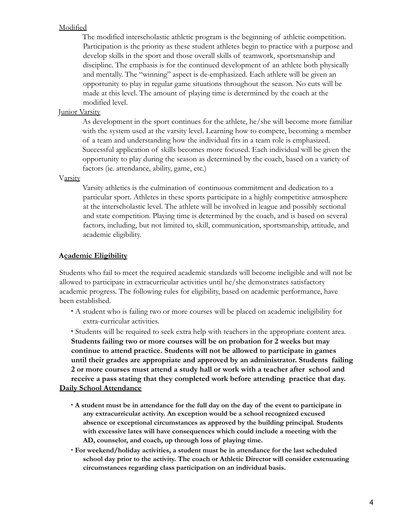#### Modified

The modified interscholastic athletic program is the beginning of athletic competition. Participation is the priority as these student athletes begin to practice with a purpose and develop skills in the sport and those overall skills of teamwork, sportsmanship and discipline. The emphasis is for the continued development of an athlete both physically and mentally. The "winning" aspect is de-emphasized. Each athlete will be given an opportunity to play in regular game situations throughout the season. No cuts will be made at this level. The amount of playing time is determined by the coach at the modified level.

#### Junior Varsity

As development in the sport continues for the athlete, he/she will become more familiar with the system used at the varsity level. Learning how to compete, becoming a member of a team and understanding how the individual fits in a team role is emphasized. Successful application of skills becomes more focused. Each individual will be given the opportunity to play during the season as determined by the coach, based on a variety of factors (ie. attendance, ability, game, etc.)

#### Varsity

Varsity athletics is the culmination of continuous commitment and dedication to a particular sport. Athletes in these sports participate in a highly competitive atmosphere at the interscholastic level. The athlete will be involved in league and possibly sectional and state competition. Playing time is determined by the coach, and is based on several factors, including, but not limited to, skill, communication, sportsmanship, attitude, and academic eligibility.

#### **Academic Eligibility**

Students who fail to meet the required academic standards will become ineligible and will not be allowed to participate in extracurricular activities until he/she demonstrates satisfactory academic progress. The following rules for eligibility, based on academic performance, have been established.

∙ A student who is failing two or more courses will be placed on academic ineligibility for extra-curricular activities.

• Students will be required to seek extra help with teachers in the appropriate content area. ∙ **Students failing two or more courses will be on probation for 2 weeks but may continue to attend practice. Students will not be allowed to participate in games until their grades are appropriate and approved by an administrator. Students failing 2 or more courses must attend a study hall or work with a teacher after school and receive a pass stating that they completed work before attending practice that day. Daily School Attendance**

- A student must be in attendance for the full day on the day of the event to participate in **any extracurricular activity. An exception would be a school recognized excused absence or exceptional circumstances as approved by the building principal. Students with excessive lates will have consequences which could include a meeting with the AD, counselor, and coach, up through loss of playing time.**
- ∙ **For weekend/holiday activities, a student must be in attendance for the last scheduled school day prior to the activity. The coach or Athletic Director will consider extenuating circumstances regarding class participation on an individual basis.**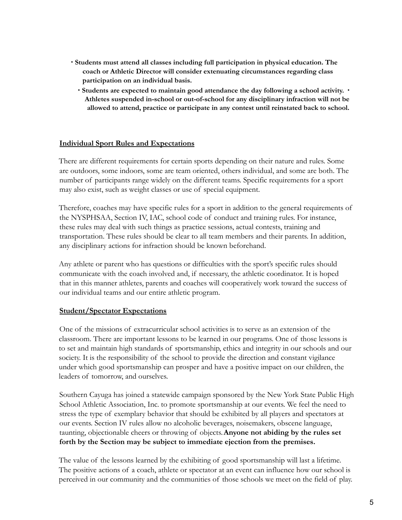- ∙ **Students must attend all classes including full participation in physical education. The coach or Athletic Director will consider extenuating circumstances regarding class participation on an individual basis.**
	- ∙ **Students are expected to maintain good attendance the day following a school activity.** ∙ **Athletes suspended in-school or out-of-school for any disciplinary infraction will not be allowed to attend, practice or participate in any contest until reinstated back to school.**

#### **Individual Sport Rules and Expectations**

There are different requirements for certain sports depending on their nature and rules. Some are outdoors, some indoors, some are team oriented, others individual, and some are both. The number of participants range widely on the different teams. Specific requirements for a sport may also exist, such as weight classes or use of special equipment.

Therefore, coaches may have specific rules for a sport in addition to the general requirements of the NYSPHSAA, Section IV, IAC, school code of conduct and training rules. For instance, these rules may deal with such things as practice sessions, actual contests, training and transportation. These rules should be clear to all team members and their parents. In addition, any disciplinary actions for infraction should be known beforehand.

Any athlete or parent who has questions or difficulties with the sport's specific rules should communicate with the coach involved and, if necessary, the athletic coordinator. It is hoped that in this manner athletes, parents and coaches will cooperatively work toward the success of our individual teams and our entire athletic program.

#### **Student/Spectator Expectations**

One of the missions of extracurricular school activities is to serve as an extension of the classroom. There are important lessons to be learned in our programs. One of those lessons is to set and maintain high standards of sportsmanship, ethics and integrity in our schools and our society. It is the responsibility of the school to provide the direction and constant vigilance under which good sportsmanship can prosper and have a positive impact on our children, the leaders of tomorrow, and ourselves.

Southern Cayuga has joined a statewide campaign sponsored by the New York State Public High School Athletic Association, Inc. to promote sportsmanship at our events. We feel the need to stress the type of exemplary behavior that should be exhibited by all players and spectators at our events. Section IV rules allow no alcoholic beverages, noisemakers, obscene language, taunting, objectionable cheers or throwing of objects.**Anyone not abiding by the rules set forth by the Section may be subject to immediate ejection from the premises.**

The value of the lessons learned by the exhibiting of good sportsmanship will last a lifetime. The positive actions of a coach, athlete or spectator at an event can influence how our school is perceived in our community and the communities of those schools we meet on the field of play.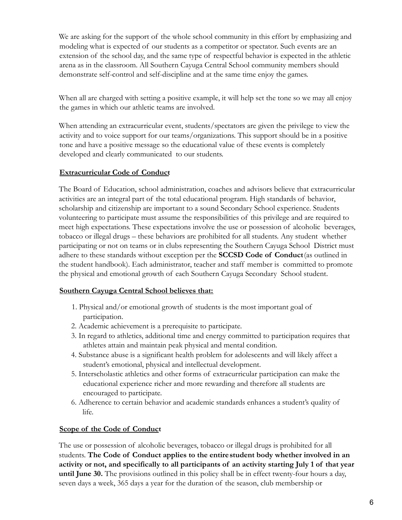We are asking for the support of the whole school community in this effort by emphasizing and modeling what is expected of our students as a competitor or spectator. Such events are an extension of the school day, and the same type of respectful behavior is expected in the athletic arena as in the classroom. All Southern Cayuga Central School community members should demonstrate self-control and self-discipline and at the same time enjoy the games.

When all are charged with setting a positive example, it will help set the tone so we may all enjoy the games in which our athletic teams are involved.

When attending an extracurricular event, students/spectators are given the privilege to view the activity and to voice support for our teams/organizations. This support should be in a positive tone and have a positive message so the educational value of these events is completely developed and clearly communicated to our students.

#### **Extracurricular Code of Conduct**

The Board of Education, school administration, coaches and advisors believe that extracurricular activities are an integral part of the total educational program. High standards of behavior, scholarship and citizenship are important to a sound Secondary School experience. Students volunteering to participate must assume the responsibilities of this privilege and are required to meet high expectations. These expectations involve the use or possession of alcoholic beverages, tobacco or illegal drugs – these behaviors are prohibited for all students. Any student whether participating or not on teams or in clubs representing the Southern Cayuga School District must adhere to these standards without exception per the **SCCSD Code of Conduct**(as outlined in the student handbook). Each administrator, teacher and staff member is committed to promote the physical and emotional growth of each Southern Cayuga Secondary School student.

#### **Southern Cayuga Central School believes that:**

- 1. Physical and/or emotional growth of students is the most important goal of participation.
- 2. Academic achievement is a prerequisite to participate.
- 3. In regard to athletics, additional time and energy committed to participation requires that athletes attain and maintain peak physical and mental condition.
- 4. Substance abuse is a significant health problem for adolescents and will likely affect a student's emotional, physical and intellectual development.
- 5. Interscholastic athletics and other forms of extracurricular participation can make the educational experience richer and more rewarding and therefore all students are encouraged to participate.
- 6. Adherence to certain behavior and academic standards enhances a student's quality of life.

#### **Scope of the Code of Conduct**

The use or possession of alcoholic beverages, tobacco or illegal drugs is prohibited for all students. **The Code of Conduct applies to the entirestudent body whether involved in an activity or not, and specifically to all participants of an activity starting July 1 of that year until June 30.** The provisions outlined in this policy shall be in effect twenty-four hours a day, seven days a week, 365 days a year for the duration of the season, club membership or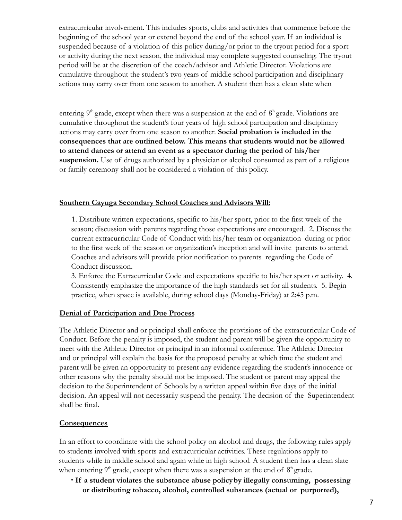extracurricular involvement. This includes sports, clubs and activities that commence before the beginning of the school year or extend beyond the end of the school year. If an individual is suspended because of a violation of this policy during/or prior to the tryout period for a sport or activity during the next season, the individual may complete suggested counseling. The tryout period will be at the discretion of the coach/advisor and Athletic Director. Violations are cumulative throughout the student's two years of middle school participation and disciplinary actions may carry over from one season to another. A student then has a clean slate when

entering  $9<sup>th</sup>$  grade, except when there was a suspension at the end of  $8<sup>th</sup>$  grade. Violations are cumulative throughout the student's four years of high school participation and disciplinary actions may carry over from one season to another. **Social probation is included in the consequences that are outlined below. This means that students would not be allowed to attend dances or attend an event as a spectator during the period of his/her suspension.** Use of drugs authorized by a physicianor alcohol consumed as part of a religious or family ceremony shall not be considered a violation of this policy.

#### **Southern Cayuga Secondary School Coaches and Advisors Will:**

1. Distribute written expectations, specific to his/her sport, prior to the first week of the season; discussion with parents regarding those expectations are encouraged. 2. Discuss the current extracurricular Code of Conduct with his/her team or organization during or prior to the first week of the season or organization's inception and will invite parents to attend. Coaches and advisors will provide prior notification to parents regarding the Code of Conduct discussion.

3. Enforce the Extracurricular Code and expectations specific to his/her sport or activity. 4. Consistently emphasize the importance of the high standards set for all students. 5. Begin practice, when space is available, during school days (Monday-Friday) at 2:45 p.m.

#### **Denial of Participation and Due Process**

The Athletic Director and or principal shall enforce the provisions of the extracurricular Code of Conduct. Before the penalty is imposed, the student and parent will be given the opportunity to meet with the Athletic Director or principal in an informal conference. The Athletic Director and or principal will explain the basis for the proposed penalty at which time the student and parent will be given an opportunity to present any evidence regarding the student's innocence or other reasons why the penalty should not be imposed. The student or parent may appeal the decision to the Superintendent of Schools by a written appeal within five days of the initial decision. An appeal will not necessarily suspend the penalty. The decision of the Superintendent shall be final.

#### **Consequences**

In an effort to coordinate with the school policy on alcohol and drugs, the following rules apply to students involved with sports and extracurricular activities. These regulations apply to students while in middle school and again while in high school. A student then has a clean slate when entering  $9<sup>th</sup>$  grade, except when there was a suspension at the end of  $8<sup>th</sup>$  grade.

∙ **If a student violates the substance abuse policyby illegally consuming, possessing or distributing tobacco, alcohol, controlled substances (actual or purported),**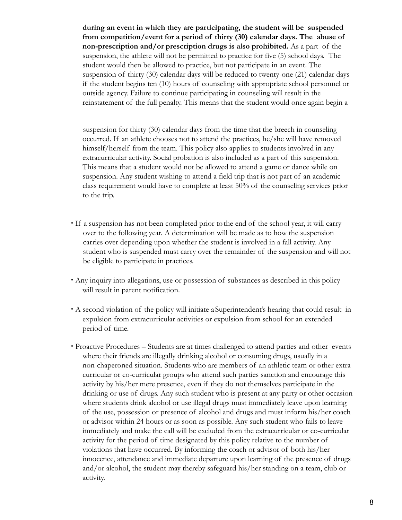**during an event in which they are participating, the student will be suspended from competition/event for a period of thirty (30) calendar days. The abuse of non-prescription and/or prescription drugs is also prohibited.** As a part of the suspension, the athlete will not be permitted to practice for five (5) school days. The student would then be allowed to practice, but not participate in an event. The suspension of thirty (30) calendar days will be reduced to twenty-one (21) calendar days if the student begins ten (10) hours of counseling with appropriate school personnel or outside agency. Failure to continue participating in counseling will result in the reinstatement of the full penalty. This means that the student would once again begin a

suspension for thirty (30) calendar days from the time that the breech in counseling occurred. If an athlete chooses not to attend the practices, he/she will have removed himself/herself from the team. This policy also applies to students involved in any extracurricular activity. Social probation is also included as a part of this suspension. This means that a student would not be allowed to attend a game or dance while on suspension. Any student wishing to attend a field trip that is not part of an academic class requirement would have to complete at least 50% of the counseling services prior to the trip.

- ∙ If a suspension has not been completed prior to the end of the school year, it will carry over to the following year. A determination will be made as to how the suspension carries over depending upon whether the student is involved in a fall activity. Any student who is suspended must carry over the remainder of the suspension and will not be eligible to participate in practices.
- ∙ Any inquiry into allegations, use or possession of substances as described in this policy will result in parent notification.
- ∙ A second violation of the policy will initiate a Superintendent's hearing that could result in expulsion from extracurricular activities or expulsion from school for an extended period of time.
- Proactive Procedures Students are at times challenged to attend parties and other events where their friends are illegally drinking alcohol or consuming drugs, usually in a non-chaperoned situation. Students who are members of an athletic team or other extra curricular or co-curricular groups who attend such parties sanction and encourage this activity by his/her mere presence, even if they do not themselves participate in the drinking or use of drugs. Any such student who is present at any party or other occasion where students drink alcohol or use illegal drugs must immediately leave upon learning of the use, possession or presence of alcohol and drugs and must inform his/her coach or advisor within 24 hours or as soon as possible. Any such student who fails to leave immediately and make the call will be excluded from the extracurricular or co-curricular activity for the period of time designated by this policy relative to the number of violations that have occurred. By informing the coach or advisor of both his/her innocence, attendance and immediate departure upon learning of the presence of drugs and/or alcohol, the student may thereby safeguard his/her standing on a team, club or activity.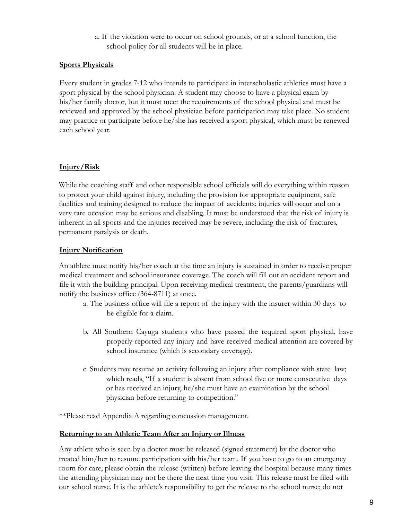a. If the violation were to occur on school grounds, or at a school function, the school policy for all students will be in place.

#### **Sports Physicals**

Every student in grades 7-12 who intends to participate in interscholastic athletics must have a sport physical by the school physician. A student may choose to have a physical exam by his/her family doctor, but it must meet the requirements of the school physical and must be reviewed and approved by the school physician before participation may take place. No student may practice or participate before he/she has received a sport physical, which must be renewed each school year.

#### **Injury/Risk**

While the coaching staff and other responsible school officials will do everything within reason to protect your child against injury, including the provision for appropriate equipment, safe facilities and training designed to reduce the impact of accidents; injuries will occur and on a very rare occasion may be serious and disabling. It must be understood that the risk of injury is inherent in all sports and the injuries received may be severe, including the risk of fractures, permanent paralysis or death.

#### **Injury Notification**

An athlete must notify his/her coach at the time an injury is sustained in order to receive proper medical treatment and school insurance coverage. The coach will fill out an accident report and file it with the building principal. Upon receiving medical treatment, the parents/guardians will notify the business office (364-8711) at once.

- a. The business office will file a report of the injury with the insurer within 30 days to be eligible for a claim.
- b. All Southern Cayuga students who have passed the required sport physical, have properly reported any injury and have received medical attention are covered by school insurance (which is secondary coverage).
- c. Students may resume an activity following an injury after compliance with state law; which reads, "If a student is absent from school five or more consecutive days or has received an injury, he/she must have an examination by the school physician before returning to competition."

\*\*Please read Appendix A regarding concussion management.

#### **Returning to an Athletic Team After an Injury or Illness**

Any athlete who is seen by a doctor must be released (signed statement) by the doctor who treated him/her to resume participation with his/her team. If you have to go to an emergency room for care, please obtain the release (written) before leaving the hospital because many times the attending physician may not be there the next time you visit. This release must be filed with our school nurse. It is the athlete's responsibility to get the release to the school nurse; do not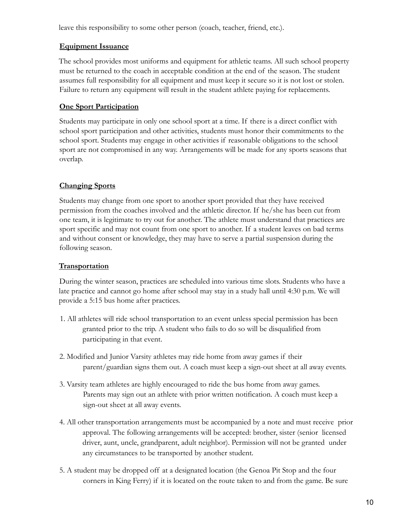leave this responsibility to some other person (coach, teacher, friend, etc.).

#### **Equipment Issuance**

The school provides most uniforms and equipment for athletic teams. All such school property must be returned to the coach in acceptable condition at the end of the season. The student assumes full responsibility for all equipment and must keep it secure so it is not lost or stolen. Failure to return any equipment will result in the student athlete paying for replacements.

## **One Sport Participation**

Students may participate in only one school sport at a time. If there is a direct conflict with school sport participation and other activities, students must honor their commitments to the school sport. Students may engage in other activities if reasonable obligations to the school sport are not compromised in any way. Arrangements will be made for any sports seasons that overlap.

## **Changing Sports**

Students may change from one sport to another sport provided that they have received permission from the coaches involved and the athletic director. If he/she has been cut from one team, it is legitimate to try out for another. The athlete must understand that practices are sport specific and may not count from one sport to another. If a student leaves on bad terms and without consent or knowledge, they may have to serve a partial suspension during the following season.

## **Transportation**

During the winter season, practices are scheduled into various time slots. Students who have a late practice and cannot go home after school may stay in a study hall until 4:30 p.m. We will provide a 5:15 bus home after practices.

- 1. All athletes will ride school transportation to an event unless special permission has been granted prior to the trip. A student who fails to do so will be disqualified from participating in that event.
- 2. Modified and Junior Varsity athletes may ride home from away games if their parent/guardian signs them out. A coach must keep a sign-out sheet at all away events.
- 3. Varsity team athletes are highly encouraged to ride the bus home from away games. Parents may sign out an athlete with prior written notification. A coach must keep a sign-out sheet at all away events.
- 4. All other transportation arrangements must be accompanied by a note and must receive prior approval. The following arrangements will be accepted: brother, sister (senior licensed driver, aunt, uncle, grandparent, adult neighbor). Permission will not be granted under any circumstances to be transported by another student.
- 5. A student may be dropped off at a designated location (the Genoa Pit Stop and the four corners in King Ferry) if it is located on the route taken to and from the game. Be sure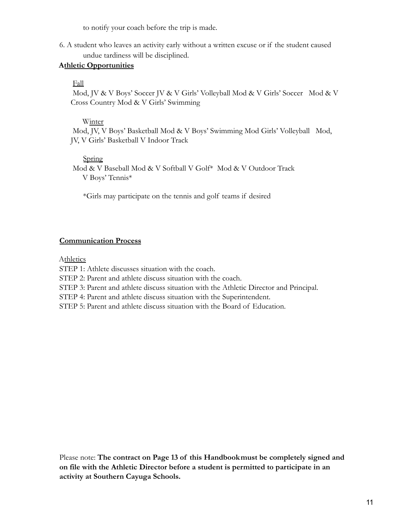to notify your coach before the trip is made.

6. A student who leaves an activity early without a written excuse or if the student caused undue tardiness will be disciplined.

#### **Athletic Opportunities**

#### Fall

Mod, JV & V Boys' Soccer JV & V Girls' Volleyball Mod & V Girls' Soccer Mod & V Cross Country Mod & V Girls' Swimming

#### Winter

Mod, JV, V Boys' Basketball Mod & V Boys' Swimming Mod Girls' Volleyball Mod, JV, V Girls' Basketball V Indoor Track

#### Spring

Mod & V Baseball Mod & V Softball V Golf\* Mod & V Outdoor Track V Boys' Tennis\*

\*Girls may participate on the tennis and golf teams if desired

#### **Communication Process**

Athletics

STEP 1: Athlete discusses situation with the coach.

STEP 2: Parent and athlete discuss situation with the coach.

STEP 3: Parent and athlete discuss situation with the Athletic Director and Principal.

STEP 4: Parent and athlete discuss situation with the Superintendent.

STEP 5: Parent and athlete discuss situation with the Board of Education.

Please note: **The contract on Page 13 of this Handbookmust be completely signed and on file with the Athletic Director before a student is permitted to participate in an activity at Southern Cayuga Schools.**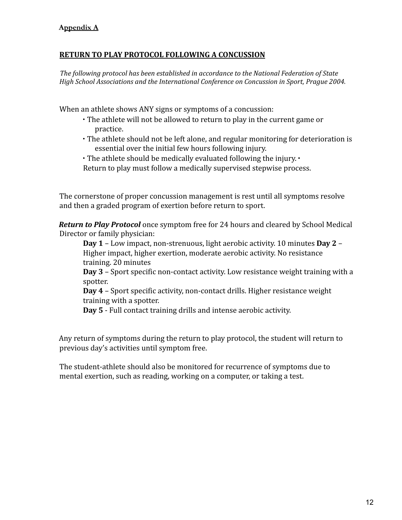## **RETURN TO PLAY PROTOCOL FOLLOWING A CONCUSSION**

*The following protocol has been established in accordance to the National Federation of State High School Associations and the International Conference on Concussion in Sport, Prague 2004.*

When an athlete shows ANY signs or symptoms of a concussion:

- ∙ The athlete will not be allowed to return to play in the current game or practice.
- ∙ The athlete should not be left alone, and regular monitoring for deterioration is essential over the initial few hours following injury.
- ∙ The athlete should be medically evaluated following the injury. ∙
- Return to play must follow a medically supervised stepwise process.

The cornerstone of proper concussion management is rest until all symptoms resolve and then a graded program of exertion before return to sport.

*Return to Play Protocol* once symptom free for 24 hours and cleared by School Medical Director or family physician:

**Day 1** – Low impact, non‐strenuous, light aerobic activity. 10 minutes **Day 2** – Higher impact, higher exertion, moderate aerobic activity. No resistance training. 20 minutes

**Day 3** – Sport specific non‐contact activity. Low resistance weight training with a spotter.

**Day 4** – Sport specific activity, non‐contact drills. Higher resistance weight training with a spotter.

**Day 5** ‐ Full contact training drills and intense aerobic activity.

Any return of symptoms during the return to play protocol, the student will return to previous day's activities until symptom free.

The student-athlete should also be monitored for recurrence of symptoms due to mental exertion, such as reading, working on a computer, or taking a test.